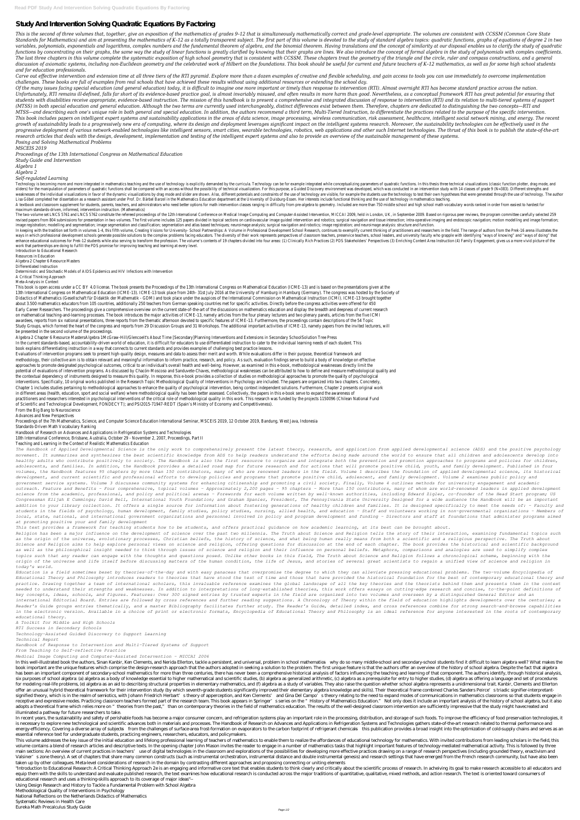## **Study And Intervention Solving Quadratic Equations By Factoring**

This is the second of three volumes that, together, give an exposition of the mathematics of grades 9-12 that is simultaneously mathematically correct and grade-level appropriate. The volumes are consistent with CCSSM (Com Standards for Mathematics) and aim at presenting the mathematics of K-12 as a totally transparent subject. The first part of this volume is devoted to the study of standard algebra topics: quadratic functions, graphs of eq variables, polynomials, exponentials and logarithms, complex numbers and the fundamental theorem of algebra, and the binomial theorem. Having translations and the concept of similarity at our disposal enables us to clarify functions by concentrating on their graphs, the same way the study of linear functions is greatly clarified by knowing that their graphs are lines. We also introduce the concept of formal algebra in the study of polynomial The last three chapters in this volume complete the systematic exposition of high school geometry that is consistent with CCSSM. These chapters treat the geometry of the triangle and the circle, ruler and compass construct discussion of axiomatic systems, including non-Euclidean geometry and the celebrated work of Hilbert on the foundations. This book should be useful for current and future teachers of K-12 mathematics, as well as for some h *and for education professionals.*

Carve out effective intervention and extension time at all three tiers of the RTI pyramid. Explore more than a dozen examples of creative and flexible scheduling, and gain access to tools you can use immediately to overcom *challenges. These books are full of examples from real schools that have achieved these results without using additional resources or extending the school day.*

Of the many issues facing special education (and general education) today, it is difficult to imagine one more important or timely than response to intervention (RTI). Almost overnight RTI has become standard practice acro Unfortunately, RTI remains ill-defined, falls far short of its evidence-based practice goal, is almost invariably misused, and often results in more harm than good. Nevertheless, as a conceptual framework RTI has great pot students with disabilities receive appropriate, evidence-based instruction. The mission of this handbook is to present a comprehensive and integrated discussion of response to intervention (RTI) and its relation to multi-t (MTSS) in both special education and general education. Although the two terms are currently used interchangeably, distinct differences exist between them. Therefore, chapters are dedicated to distinguishing the two concep MTSS—and describing each one's unique role in both general and special education. In addition, the authors recommend a third term, Multi-Tiered Instruction, to differentiate the practices related to the purpose of the spec This book includes papers on intelligent expert systems and sustainability applications in the areas of data science, image processing, wireless communication, risk assessment, healthcare, intelligent social network mining growth of sustainability leads to a progressively new era of computing, where its design and deployment leverages significant impact on the intelligent systems research. Moreover, the sustainability technologies can be eff progressive deployment of various network-enabled technologies like intelligent sensors, smart cities, wearable technologies, robotics, web applications and other such Internet technologies. The thrust of this book is to p *research articles that deals with the design, development, implementation and testing of the intelligent expert systems and also to provide an overview of the sustainable management of these systems. Posing and Solving Mathematical Problems*

A textbook and classroom supplement for students, parents, teachers, and administrators who need better options for math intervention classes ranging in difficulty from pre-algebra to geometry. Included are more than 750 m maximum standards-driven, informed, intervention instruction. (Mathematics)

The two-volume set LNCS 5761 and LNCS 5762 constitute the refereed proceedings of the 12th International Conference on Medical Image Computing and Computer-Assisted Intervention, MICCAI 2009, held in London, UK, in Septemb revised papers from 804 submissions for presentation in two volumes. The first volume includes 125 papers divided in topical sections on cardiovascular image quided intervention and robotics; surgical navigation and tissue image registration; modelling and segmentation; image segmentation and classification; segmentation and atlas based techniques; neuroimage analysis; surgical navigation and robotics; image registration; and neuroimage anal

In keeping with the tradition set forth in volumes 1-4, this fifth volume, Creating Visions for University- School Partnerships: A Volume in Professional Development School Research, continues to exemplify current thinking ways in which professional development schools generate possible solutions to the complex problems facing educators. The diversity of their work represents perspectives of classroom teachers, preservice teachers, school le enhance educational outcomes for Prek-12 students while also serving to transform the profession. The volume's contents of 19 chapters divided into four areas: (1) Clinically Rich Practices (2) PDS Stakeholders' Perspectiv work that partnerships are doing to fulfill the PDS promise for improving teaching and learning at every level.

Introduction to Educational Research Resources in Education Algebra 2 Chapter 6 Resource Masters Differentiated Instruction Deterministic and Stochastic Models of AIDS Epidemics and HIV Infections with Intervention A Critical Thinking Approach Meta-Analysis in Context This book is open access under a CC BY 4.0 license. The book presents the Proceedings of the 13th International Congress on Mathematical Education (ICME-13) and is based on the presentations given at the 13th International Congress on Mathematical Education (ICME-13). ICME-13 took place from 24th- 31st July 2016 at the University of Hamburg in Hamburg (Germany). The congress was hosted by the Society of Didactics of Mathematics (Gesellschaft für Didaktik der Mathematik - GDM) and took place under the auspices of the International Commission on Mathematical Instruction (ICMI). ICME-13 brought togethe about 3.500 mathematics educators from 105 countries, additionally 250 teachers from German speaking countries met for specific activities. Directly before the congress activities were offered for 450

*MSCEIS 2019*

*Proceedings of the 13th International Congress on Mathematical Education*

*Study Guide and Intervention*

*Algebra 1*

*Algebra 2*

*Self-regulated Learning*

Technology is becoming more and more integrated in mathematics teaching and the use of technology is explicitly demanded by the curricula. Technology can be for example integrated while conceptualizing parameters of quadra sliders) for the manipulation of parameters of quadratic functions shall be compared with an access without the possibility of technical visualization. For this purpose, a Guided Discovery environment was developed, which weaknesses of the individual visualizations in favor of the dynamic visualizations by drag mode and slider are shown. Also, different potentials and constraints of the use of technology are visible, for example the student Lisa Göbel completed her dissertation as a research assistant under Prof. Dr. Bärbel Barzel in the Mathematics Education department at the University of Duisburg-Essen. Her interests include functional thinking and the use

Early Career Researchers. The proceedings give a comprehensive overview on the current state-of-the-art of the discussions on mathematics education and display the breadth and deepness of current researchers researchers. on mathematical teaching-and-learning processes. The book introduces the major activities of ICME-13, namely articles from the four plenary lecturers and two plenary panels, articles from the five ICMI awardees, reports from six national presentations, three reports from the thematic afternoon devoted to specific features of ICME-13. Furthermore, the proceedings contain descriptions of the 54 Topic Study Groups, which formed the heart of the congress and reports from 29 Discussion Groups and 31 Workshops. The additional important activities of ICME-13, namely papers from the invited lecturers, will be presented in the second volume of the proceedings.

Algebra 2 Chapter 6 Resource MastersAlgebra 1McGraw-Hill/GlencoeIt's About Time [Secondary]Planning Interventions and Extensions in Secondary SchoolSolution Tree Press In the current standards-based, accountability-driven world of education, it is difficult for educators to use differentiated instruction to cater to the individual learning needs of each student. This book explains differentiating instruction in a way that connects to current standards and provides examples of challenging best practice lessons.

In this well-illustrated book the authors, Sinan Kanbir, Ken Clements, and Nerida Ellerton, tackle a persistent, and universal, problem in school mathematics—why do so many middle-school and secondary-school students find book important are the unique features which comprise the design-research approach that the authors adopted in seeking a solution to the problem. The first unique feature is that the authors offer an overview of the histor has been an important component of secondary-school mathematics for more than three centuries, there has never been a comprehensive historical analysis of factors influencing the teaching and learning of that component. Th six purposes of school algebra: (a) algebra as a body of knowledge essential to higher mathematical and scientific studies, (b) algebra as generalized arithmetic, (c) algebra as a prerequisite for entry to higher studies, for modeling real-life problems, (e) algebra as an aid to describing structural properties in elementary mathematics, and (f) algebra as a study of variables. They also raise the question whether school algebra represents offer an unusual hybrid theoretical framework for their intervention study (by which seventh-grade students significantly improved their elementary algebra knowledge and skills). Their theoretical frame combined Charles Sa signified theory, which is in the realm of semiotics, with Johann Friedrich Herbart's theory of apperception, and Ken Clements' and Gina Del Campo's theory relating to the need to expand modes of communications in mathemat receptive and expressive modes. Practicing classroom teachers formed part of the research team. This book appears in Springer's series on the "History of Mathematics Education." Not only does it include an important analys adopts a theoretical frame which relies more on "theories from the past," than on contemporary theories in the field of mathematics education. The results of the well-designed classroom intervention are sufficiently impres illuminated a pathway for future researchers to take.

In recent years, the sustainability and safety of perishable foods has become a major consumer concern, and refrigeration systems play an important role in the processing, distribution, and storage of such foods. To improv is necessary to explore new technological and scientific advances both in materials and processes. The Handbook of Research on Advances and Applications in Refrigeration Systems and Technologies gathers state-of-the-art re energy-efficiency. Covering a diverse array of subjects—from the challenges of surface-area frost-formation on evaporators to the carbon footprint of refrigerant chemicals—this publication provides a broad insight into the essential reference text for undergraduate students, practicing engineers, researchers, educators, and policymakers.

Evaluations of intervention programs seek to present high-quality design, measures and data to assess their merit and worth. While evaluations differ in their purpose, theoretical framework and methodology, their collective aim is to obtain relevant and meaningful information to inform practice, research, and policy. As such, evaluation findings serve to build a body of knowledge on effective approaches to promote designated psychological outcomes, critical to an individual's overall health and well-being. However, as examined in this e-book, methodological weaknesses directly limit the potential of evaluations of intervention programs. As discussed by Chacón-Moscoso and Sanduvete-Chaves, methodological weaknesses can be attributed to how to define and measure methodological quality and the contextual dependency of instruments designed to measure this quality. In response, this e-book provides a collection of studies on methodological approaches to promote the quality of psychological interventions. Specifically, 10 original works published in the Research Topic Methodological Quality of Interventions in Psychology are included. The papers are organized into two chapters. Concretely Chapter 1 includes studies pertaining to methodological approaches to enhance the quality of psychological intervention, being context independent solutions. Furthermore, Chapter 2 presents original worl in different areas (health, education, sport and social welfare) where methodological quality has been better assessed. Collectively, the papers in this e-book serve to expand the awareness o practitioners and researchers interested in psychological interventions of the critical role of methodological quality in this work. This research was funded by the projects 1150096 (Chilean National Fund of Scientific and Technological Development, FONDECYT); and PSI2015-71947-REDT (Spain's Ministry of Economy and Competitiveness).

This volume addresses the kev issue of the initial education and lifelong professional learning of teachers of mathematics to enable them to realize the affordances of educational technology for mathematics. With invited c volume contains a blend of research articles and descriptive texts. In the opening chapter John Mason invites the reader to engage in a number of mathematics tasks that highlight important features of technology-mediated m main sections: An overview of current practices in teachers' use of digital technologies in the classroom and explorations of the possibilities for developing more effective practices drawing on a range of research perspec Valsiner's zone theory). A set of chapters that share many common constructs (such as instrumental orchestration, instrumental distance and double instrumental genesis) and research settings that have emerged from the Fren taken up by other colleagues. Meta-level considerations of research in the domain by contrasting different approaches and proposing connecting or uniting elements

"Introduction to Educational Research: A Critical Thinking Approach 2e is an engaging and informative core text that enables students to think clearly and critically about the scientific process of research. In acheiving i equip them with the skills to understand and evaluate published research, the text examines how educational research is conducted across the major traditions of quantitative, qualitative, mixed methods, and action research educational research and uses a thinking-skills approach to its coverage of major ideas"--

From the Big Bang to Neuroscience

Advances and New Perspectives

Proceedings of the 7th Mathematics, Science, and Computer Science Education International Seminar, MSCEIS 2019, 12 October 2019, Bandung, West Java, Indonesia

Standards-Driven Math Vocabulary Ranking

Handbook of Research on Advances and Applications in Refrigeration Systems and Technologies

10th International Conference, Brisbane, Australia, October 29 - November 2, 2007, Proceedings, Part II

## Teaching and Learning in the Context of Realistic Mathematics Education

*The Handbook of Applied Developmental Science is the only work to comprehensively present the latest theory, research, and application from applied developmental science (ADS) and the positive psychology movement. It summarizes and synthesizes the best scientific knowledge from ADS to help readers understand the efforts being made around the world to ensure that all children and adolescents develop into healthy adults who contribute positively to society. The Handbook is also the first resource to organize and integrate both the prevention and promotion approaches to programs and policies for children, adolescents, and families. In addition, the Handbook provides a detailed road map for future research and for actions that will promote positive child, youth, and family development. Published in four volumes, the Handbook features 95 chapters by more than 150 contributors, many of who are renowned leaders in the field. Volume 1 describes the foundation of applied developmental science, its historical development, and current scientific and professional efforts to develop policies and programs that promote positive child, adolescent, and family development. Volume 2 examines public policy and government service systems. Volume 3 discusses community systems for enhancing citizenship and promoting a civil society. Finally, Volume 4 outlines methods for university engagement and academic outreach. Feature and Benefits - Four comprehensive, topical volumes - Approximately 2,200 pages - 95 chapters - More than 150 contributors, many of whom are world-renowned leaders in applied development science from the academic, professional, and policy and political arenas - Forewords for each volume written by well-known authorities, including Edward Zigler, co-founder of the Head Start program; US Congressman Elijah E Cummings; David Bell, International Youth Foundation; and Graham Spanier, President, The Pennsylvania State University Designed for a wide audience the Handbook will be an important addition to your library collection. It offers a single source for information about fostering generations of healthy children and families. It is designed specifically to meet the needs of: - Faculty and students in the fields of psychology, human development, family studies, policy studies, nursing, allied health, and education - Staff and volunteers working in non-governmental organizations - Members of local, state, national, and international government organizations and personnel involved in policy and program development and funding - Directors and staff at foundations that administer programs aimed at promoting positive your and family development*

*This text provides a framework for teaching students how to be students, and offers practical guidance on how academic learning, at its best can be brought about.*

*Religion has been a major influence on the development of science over the past two millennia. The Truth about Science and Religion tells the story of their interaction, examining fundamental topics such as the origin of the universe, evolutionary processes, Christian beliefs, the history of science, and what being human really means from both a scientific and a religious perspective. The Truth about Science and Religion aims to help explore personal views on science and religion, offering questions for discussion at the end of each chapter. The book provides the historical and scientific background as well as the philosophical insight needed to think through issues of science and religion and their influence on personal beliefs. Metaphors, comparisons and analogies are used to simplify complex topics such that any reader can engage with the thoughts and questions posed. Unlike other books in this field, The Truth about Science and Religion follows a chronological scheme, beginning with the origin of the universe and life itself before discussing matters of the human condition, the life of Jesus, and stories of several great scientists to regain a unified view of science and religion in today's world.*

*Education is a field sometimes beset by theories-of-the-day and with easy panaceas that overpromise the degree to which they can alleviate pressing educational problems. The two-volume Encyclopedia of Educational Theory and Philosophy introduces readers to theories that have stood the test of time and those that have provided the historical foundation for the best of contemporary educational theory and practice. Drawing together a team of international scholars, this invaluable reference examines the global landscape of all the key theories and the theorists behind them and presents them in the context needed to understand their strengths and weaknesses. In addition to interpretations of long-established theories, this work offers essays on cutting-edge research and concise, to-the-point definitions of key concepts, ideas, schools, and figures. Features: Over 300 signed entries by trusted experts in the field are organized into two volumes and overseen by a distinguished General Editor and an international Editorial Board. Entries are followed by cross references and further reading suggestions. A Chronology of Theory within the field of education highlights developments over the centuries; a Reader's Guide groups entries thematically, and a master Bibliography facilitates further study. The Reader's Guide, detailed index, and cross references combine for strong search-and-browse capabilities in the electronic version. Available in a choice of print or electronic formats, Encyclopedia of Educational Theory and Philosophy is an ideal reference for anyone interested in the roots of contemporary educational theory. A Toolkit for Middle and High Schools RTI Success in Secondary Schools Technology-Assisted Guided Discovery to Support Learning Technical Report Handbook of Response to Intervention and Multi-Tiered Systems of Support From Teaching to Self-reflective Practice*

## *Medical Image Computing and Computer-Assisted Intervention – MICCAI 2006*

Using Design Research and History to Tackle a Fundamental Problem with School Algebra

Methodological Quality of Interventions in Psychology

National Reflections on the Netherlands Didactics of Mathematics

Systematic Reviews in Health Care

Eureka Math Precalculus Study Guide